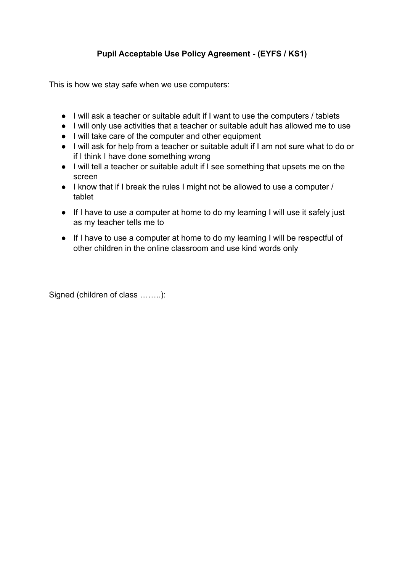## **Pupil Acceptable Use Policy Agreement - (EYFS / KS1)**

This is how we stay safe when we use computers:

- I will ask a teacher or suitable adult if I want to use the computers / tablets
- I will only use activities that a teacher or suitable adult has allowed me to use
- I will take care of the computer and other equipment
- I will ask for help from a teacher or suitable adult if I am not sure what to do or if I think I have done something wrong
- I will tell a teacher or suitable adult if I see something that upsets me on the screen
- I know that if I break the rules I might not be allowed to use a computer / tablet
- If I have to use a computer at home to do my learning I will use it safely just as my teacher tells me to
- If I have to use a computer at home to do my learning I will be respectful of other children in the online classroom and use kind words only

Signed (children of class ……..):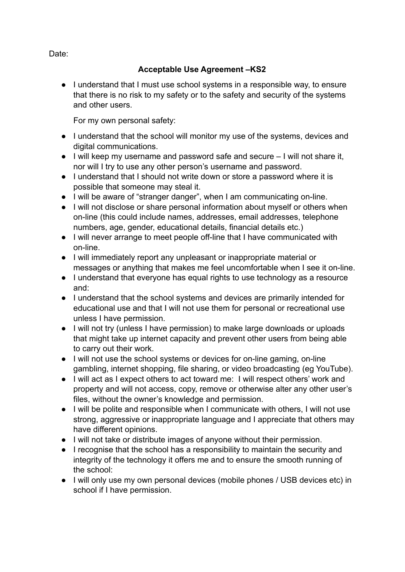Date:

## **Acceptable Use Agreement –KS2**

● I understand that I must use school systems in a responsible way, to ensure that there is no risk to my safety or to the safety and security of the systems and other users.

For my own personal safety:

- I understand that the school will monitor my use of the systems, devices and digital communications.
- I will keep my username and password safe and secure I will not share it, nor will I try to use any other person's username and password.
- I understand that I should not write down or store a password where it is possible that someone may steal it.
- I will be aware of "stranger danger", when I am communicating on-line.
- I will not disclose or share personal information about myself or others when on-line (this could include names, addresses, email addresses, telephone numbers, age, gender, educational details, financial details etc.)
- I will never arrange to meet people off-line that I have communicated with on-line.
- I will immediately report any unpleasant or inappropriate material or messages or anything that makes me feel uncomfortable when I see it on-line.
- I understand that everyone has equal rights to use technology as a resource and:
- I understand that the school systems and devices are primarily intended for educational use and that I will not use them for personal or recreational use unless I have permission.
- I will not try (unless I have permission) to make large downloads or uploads that might take up internet capacity and prevent other users from being able to carry out their work.
- I will not use the school systems or devices for on-line gaming, on-line gambling, internet shopping, file sharing, or video broadcasting (eg YouTube).
- I will act as I expect others to act toward me: I will respect others' work and property and will not access, copy, remove or otherwise alter any other user's files, without the owner's knowledge and permission.
- I will be polite and responsible when I communicate with others, I will not use strong, aggressive or inappropriate language and I appreciate that others may have different opinions.
- I will not take or distribute images of anyone without their permission.
- I recognise that the school has a responsibility to maintain the security and integrity of the technology it offers me and to ensure the smooth running of the school:
- I will only use my own personal devices (mobile phones / USB devices etc) in school if I have permission.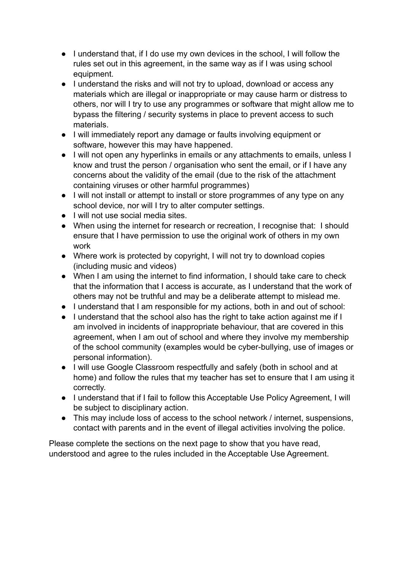- I understand that, if I do use my own devices in the school, I will follow the rules set out in this agreement, in the same way as if I was using school equipment.
- I understand the risks and will not try to upload, download or access any materials which are illegal or inappropriate or may cause harm or distress to others, nor will I try to use any programmes or software that might allow me to bypass the filtering / security systems in place to prevent access to such materials.
- I will immediately report any damage or faults involving equipment or software, however this may have happened.
- I will not open any hyperlinks in emails or any attachments to emails, unless I know and trust the person / organisation who sent the email, or if I have any concerns about the validity of the email (due to the risk of the attachment containing viruses or other harmful programmes)
- I will not install or attempt to install or store programmes of any type on any school device, nor will I try to alter computer settings.
- I will not use social media sites
- When using the internet for research or recreation, I recognise that: I should ensure that I have permission to use the original work of others in my own work
- Where work is protected by copyright, I will not try to download copies (including music and videos)
- When I am using the internet to find information, I should take care to check that the information that I access is accurate, as I understand that the work of others may not be truthful and may be a deliberate attempt to mislead me.
- I understand that I am responsible for my actions, both in and out of school:
- I understand that the school also has the right to take action against me if I am involved in incidents of inappropriate behaviour, that are covered in this agreement, when I am out of school and where they involve my membership of the school community (examples would be cyber-bullying, use of images or personal information).
- I will use Google Classroom respectfully and safely (both in school and at home) and follow the rules that my teacher has set to ensure that I am using it correctly.
- I understand that if I fail to follow this Acceptable Use Policy Agreement, I will be subject to disciplinary action.
- This may include loss of access to the school network / internet, suspensions, contact with parents and in the event of illegal activities involving the police.

Please complete the sections on the next page to show that you have read, understood and agree to the rules included in the Acceptable Use Agreement.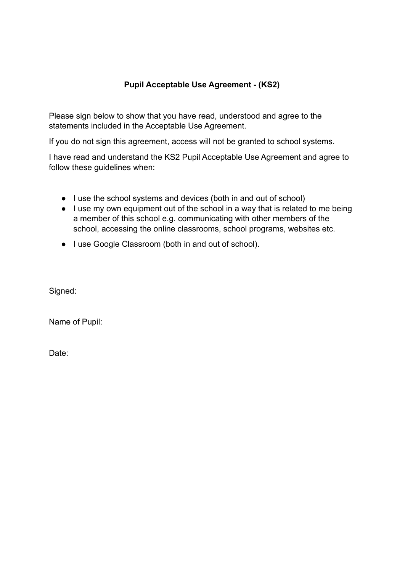## **Pupil Acceptable Use Agreement - (KS2)**

Please sign below to show that you have read, understood and agree to the statements included in the Acceptable Use Agreement.

If you do not sign this agreement, access will not be granted to school systems.

I have read and understand the KS2 Pupil Acceptable Use Agreement and agree to follow these guidelines when:

- I use the school systems and devices (both in and out of school)
- I use my own equipment out of the school in a way that is related to me being a member of this school e.g. communicating with other members of the school, accessing the online classrooms, school programs, websites etc.
- I use Google Classroom (both in and out of school).

Signed:

Name of Pupil:

Date: